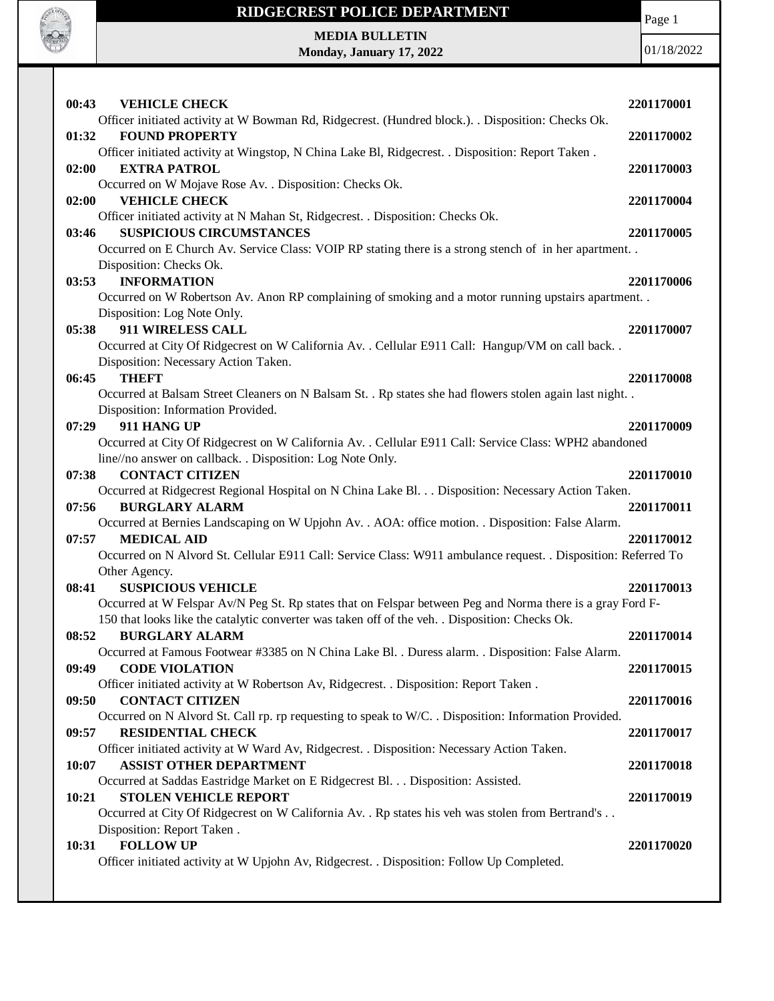

**MEDIA BULLETIN Monday, January 17, 2022** Page 1

01/18/2022

| 00:43<br><b>VEHICLE CHECK</b>                                                                                                            | 2201170001 |
|------------------------------------------------------------------------------------------------------------------------------------------|------------|
| Officer initiated activity at W Bowman Rd, Ridgecrest. (Hundred block.). . Disposition: Checks Ok.                                       |            |
| <b>FOUND PROPERTY</b><br>01:32                                                                                                           | 2201170002 |
| Officer initiated activity at Wingstop, N China Lake Bl, Ridgecrest. . Disposition: Report Taken.                                        |            |
| 02:00<br><b>EXTRA PATROL</b>                                                                                                             | 2201170003 |
| Occurred on W Mojave Rose Av. . Disposition: Checks Ok.<br><b>VEHICLE CHECK</b><br>02:00                                                 | 2201170004 |
| Officer initiated activity at N Mahan St, Ridgecrest. . Disposition: Checks Ok.                                                          |            |
| <b>SUSPICIOUS CIRCUMSTANCES</b><br>03:46                                                                                                 | 2201170005 |
| Occurred on E Church Av. Service Class: VOIP RP stating there is a strong stench of in her apartment                                     |            |
| Disposition: Checks Ok.                                                                                                                  |            |
| <b>INFORMATION</b><br>03:53<br>Occurred on W Robertson Av. Anon RP complaining of smoking and a motor running upstairs apartment         | 2201170006 |
| Disposition: Log Note Only.                                                                                                              |            |
| 05:38<br>911 WIRELESS CALL                                                                                                               | 2201170007 |
| Occurred at City Of Ridgecrest on W California Av. . Cellular E911 Call: Hangup/VM on call back. .                                       |            |
| Disposition: Necessary Action Taken.                                                                                                     |            |
| <b>THEFT</b><br>06:45                                                                                                                    | 2201170008 |
| Occurred at Balsam Street Cleaners on N Balsam St. . Rp states she had flowers stolen again last night. .                                |            |
| Disposition: Information Provided.<br>911 HANG UP                                                                                        |            |
| 07:29<br>Occurred at City Of Ridgecrest on W California Av. . Cellular E911 Call: Service Class: WPH2 abandoned                          | 2201170009 |
| line//no answer on callback. . Disposition: Log Note Only.                                                                               |            |
| 07:38<br><b>CONTACT CITIZEN</b>                                                                                                          | 2201170010 |
| Occurred at Ridgecrest Regional Hospital on N China Lake Bl. Disposition: Necessary Action Taken.                                        |            |
| 07:56<br><b>BURGLARY ALARM</b>                                                                                                           | 2201170011 |
| Occurred at Bernies Landscaping on W Upjohn Av. . AOA: office motion. . Disposition: False Alarm.                                        |            |
| <b>MEDICAL AID</b><br>07:57                                                                                                              | 2201170012 |
| Occurred on N Alvord St. Cellular E911 Call: Service Class: W911 ambulance request. . Disposition: Referred To<br>Other Agency.          |            |
| 08:41<br><b>SUSPICIOUS VEHICLE</b>                                                                                                       | 2201170013 |
| Occurred at W Felspar Av/N Peg St. Rp states that on Felspar between Peg and Norma there is a gray Ford F-                               |            |
| 150 that looks like the catalytic converter was taken off of the veh. . Disposition: Checks Ok.                                          |            |
| <b>BURGLARY ALARM</b><br>08:52                                                                                                           | 2201170014 |
| Occurred at Famous Footwear #3385 on N China Lake Bl. . Duress alarm. . Disposition: False Alarm.                                        |            |
| <b>CODE VIOLATION</b><br>09:49                                                                                                           | 2201170015 |
| Officer initiated activity at W Robertson Av, Ridgecrest. . Disposition: Report Taken.                                                   |            |
| <b>CONTACT CITIZEN</b><br>09:50<br>Occurred on N Alvord St. Call rp. rp requesting to speak to W/C. . Disposition: Information Provided. | 2201170016 |
| <b>RESIDENTIAL CHECK</b><br>09:57                                                                                                        | 2201170017 |
| Officer initiated activity at W Ward Av, Ridgecrest. . Disposition: Necessary Action Taken.                                              |            |
| <b>ASSIST OTHER DEPARTMENT</b><br>10:07                                                                                                  | 2201170018 |
| Occurred at Saddas Eastridge Market on E Ridgecrest Bl. Disposition: Assisted.                                                           |            |
| <b>STOLEN VEHICLE REPORT</b><br>10:21                                                                                                    | 2201170019 |
| Occurred at City Of Ridgecrest on W California Av. . Rp states his veh was stolen from Bertrand's                                        |            |
| Disposition: Report Taken.<br><b>FOLLOW UP</b><br>10:31                                                                                  | 2201170020 |
| Officer initiated activity at W Upjohn Av, Ridgecrest. . Disposition: Follow Up Completed.                                               |            |
|                                                                                                                                          |            |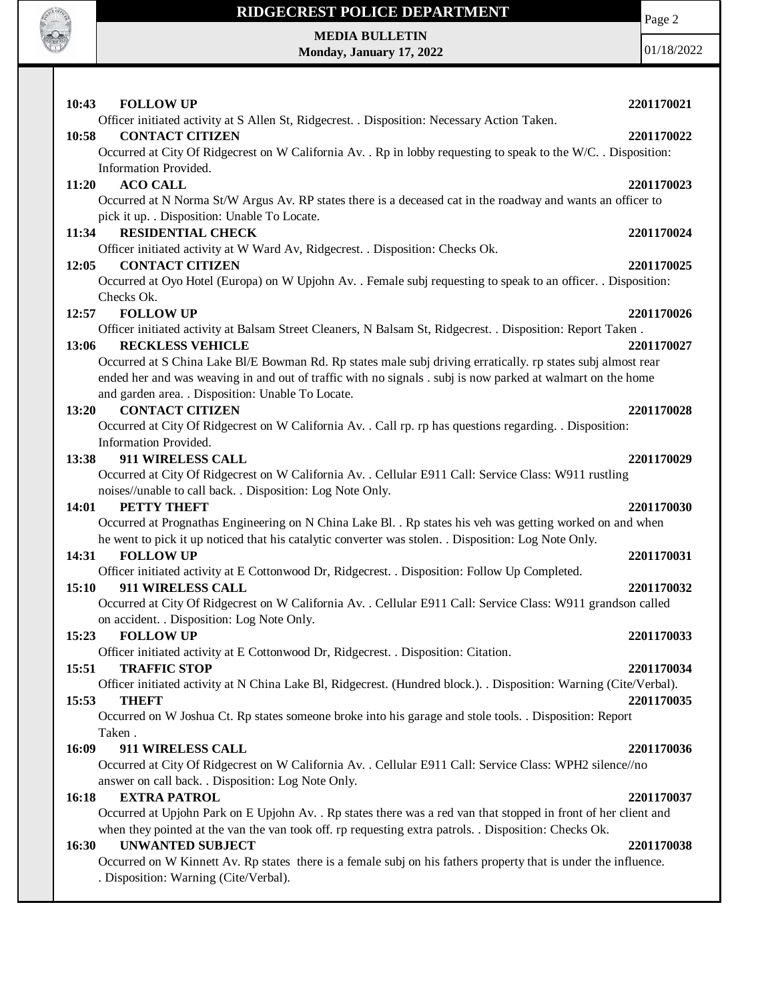

**MEDIA BULLETIN Monday, January 17, 2022** Page 2

01/18/2022

| 10:43<br><b>FOLLOW UP</b>                                                                                                                                                                                         | 2201170021 |
|-------------------------------------------------------------------------------------------------------------------------------------------------------------------------------------------------------------------|------------|
| Officer initiated activity at S Allen St, Ridgecrest. . Disposition: Necessary Action Taken.                                                                                                                      |            |
| <b>CONTACT CITIZEN</b><br>10:58                                                                                                                                                                                   | 2201170022 |
| Occurred at City Of Ridgecrest on W California Av. . Rp in lobby requesting to speak to the W/C. . Disposition:                                                                                                   |            |
| Information Provided.                                                                                                                                                                                             |            |
| <b>ACO CALL</b><br>11:20                                                                                                                                                                                          | 2201170023 |
| Occurred at N Norma St/W Argus Av. RP states there is a deceased cat in the roadway and wants an officer to<br>pick it up. . Disposition: Unable To Locate.                                                       |            |
| 11:34<br><b>RESIDENTIAL CHECK</b>                                                                                                                                                                                 | 2201170024 |
| Officer initiated activity at W Ward Av, Ridgecrest. . Disposition: Checks Ok.                                                                                                                                    |            |
| <b>CONTACT CITIZEN</b><br>12:05                                                                                                                                                                                   | 2201170025 |
| Occurred at Oyo Hotel (Europa) on W Upjohn Av. . Female subj requesting to speak to an officer. . Disposition:                                                                                                    |            |
| Checks Ok.                                                                                                                                                                                                        |            |
| 12:57<br><b>FOLLOW UP</b>                                                                                                                                                                                         | 2201170026 |
| Officer initiated activity at Balsam Street Cleaners, N Balsam St, Ridgecrest. . Disposition: Report Taken.                                                                                                       |            |
| <b>RECKLESS VEHICLE</b><br>13:06                                                                                                                                                                                  | 2201170027 |
| Occurred at S China Lake Bl/E Bowman Rd. Rp states male subj driving erratically. rp states subj almost rear                                                                                                      |            |
| ended her and was weaving in and out of traffic with no signals . subj is now parked at walmart on the home                                                                                                       |            |
| and garden area. . Disposition: Unable To Locate.                                                                                                                                                                 |            |
| <b>CONTACT CITIZEN</b><br>13:20                                                                                                                                                                                   | 2201170028 |
| Occurred at City Of Ridgecrest on W California Av. . Call rp. rp has questions regarding. . Disposition:                                                                                                          |            |
| Information Provided.                                                                                                                                                                                             |            |
| 13:38<br>911 WIRELESS CALL                                                                                                                                                                                        | 2201170029 |
| Occurred at City Of Ridgecrest on W California Av. . Cellular E911 Call: Service Class: W911 rustling                                                                                                             |            |
| noises//unable to call back. . Disposition: Log Note Only.                                                                                                                                                        |            |
| 14:01<br>PETTY THEFT                                                                                                                                                                                              | 2201170030 |
| Occurred at Prognathas Engineering on N China Lake Bl. . Rp states his veh was getting worked on and when<br>he went to pick it up noticed that his catalytic converter was stolen. . Disposition: Log Note Only. |            |
| <b>FOLLOW UP</b><br>14:31                                                                                                                                                                                         | 2201170031 |
| Officer initiated activity at E Cottonwood Dr, Ridgecrest. . Disposition: Follow Up Completed.                                                                                                                    |            |
| 911 WIRELESS CALL<br>15:10                                                                                                                                                                                        | 2201170032 |
| Occurred at City Of Ridgecrest on W California Av. . Cellular E911 Call: Service Class: W911 grandson called                                                                                                      |            |
| on accident. . Disposition: Log Note Only.                                                                                                                                                                        |            |
| <b>FOLLOW UP</b><br>15:23                                                                                                                                                                                         | 2201170033 |
| Officer initiated activity at E Cottonwood Dr, Ridgecrest. . Disposition: Citation.                                                                                                                               |            |
| <b>TRAFFIC STOP</b><br>15:51                                                                                                                                                                                      | 2201170034 |
| Officer initiated activity at N China Lake Bl, Ridgecrest. (Hundred block.). . Disposition: Warning (Cite/Verbal).                                                                                                |            |
| 15:53<br><b>THEFT</b>                                                                                                                                                                                             | 2201170035 |
| Occurred on W Joshua Ct. Rp states someone broke into his garage and stole tools. . Disposition: Report                                                                                                           |            |
| Taken.                                                                                                                                                                                                            |            |
| 911 WIRELESS CALL<br>16:09                                                                                                                                                                                        | 2201170036 |
| Occurred at City Of Ridgecrest on W California Av. . Cellular E911 Call: Service Class: WPH2 silence//no                                                                                                          |            |
| answer on call back. . Disposition: Log Note Only.                                                                                                                                                                |            |
| <b>EXTRA PATROL</b><br>16:18                                                                                                                                                                                      | 2201170037 |
| Occurred at Upjohn Park on E Upjohn Av. . Rp states there was a red van that stopped in front of her client and                                                                                                   |            |
| when they pointed at the van the van took off. rp requesting extra patrols. . Disposition: Checks Ok.                                                                                                             |            |
| 16:30<br><b>UNWANTED SUBJECT</b>                                                                                                                                                                                  | 2201170038 |
| Occurred on W Kinnett Av. Rp states there is a female subj on his fathers property that is under the influence.                                                                                                   |            |
| . Disposition: Warning (Cite/Verbal).                                                                                                                                                                             |            |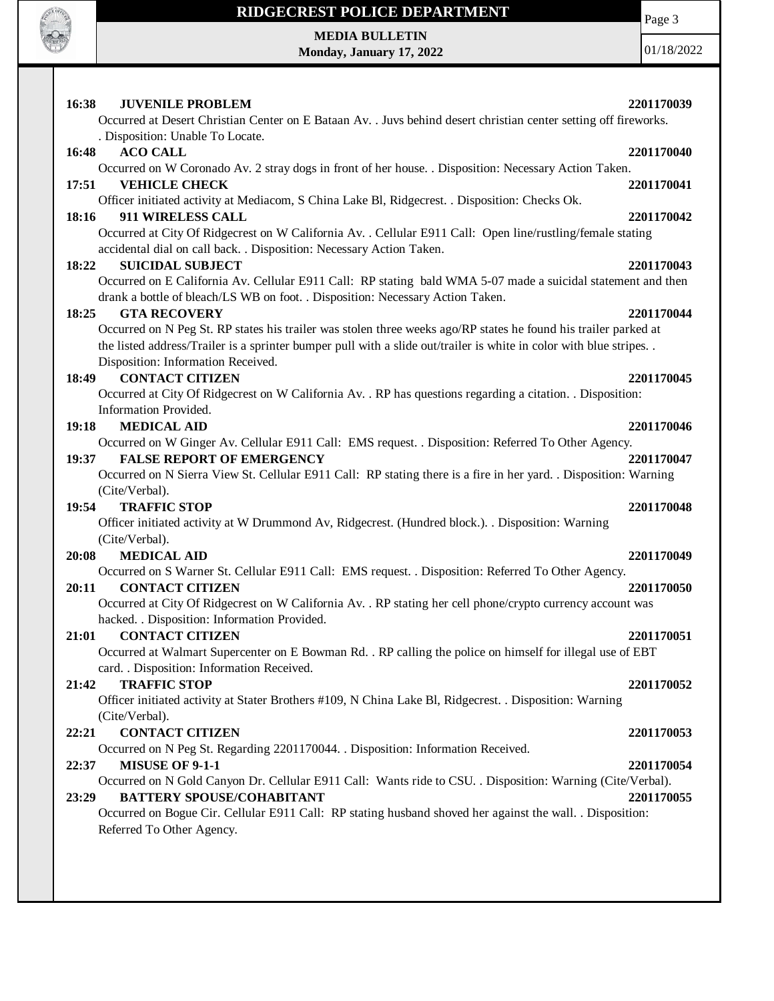

Page 3

**MEDIA BULLETIN Monday, January 17, 2022**

01/18/2022

| 16:38<br><b>JUVENILE PROBLEM</b>                                                                                                   | 2201170039 |
|------------------------------------------------------------------------------------------------------------------------------------|------------|
| Occurred at Desert Christian Center on E Bataan Av. . Juvs behind desert christian center setting off fireworks.                   |            |
| . Disposition: Unable To Locate.                                                                                                   |            |
| <b>ACO CALL</b><br>16:48                                                                                                           | 2201170040 |
| Occurred on W Coronado Av. 2 stray dogs in front of her house. . Disposition: Necessary Action Taken.                              |            |
| <b>VEHICLE CHECK</b><br>17:51                                                                                                      | 2201170041 |
| Officer initiated activity at Mediacom, S China Lake Bl, Ridgecrest. . Disposition: Checks Ok.                                     |            |
| 911 WIRELESS CALL<br>18:16                                                                                                         | 2201170042 |
| Occurred at City Of Ridgecrest on W California Av. . Cellular E911 Call: Open line/rustling/female stating                         |            |
| accidental dial on call back. . Disposition: Necessary Action Taken.                                                               |            |
| <b>SUICIDAL SUBJECT</b><br>18:22                                                                                                   | 2201170043 |
| Occurred on E California Av. Cellular E911 Call: RP stating bald WMA 5-07 made a suicidal statement and then                       |            |
| drank a bottle of bleach/LS WB on foot. . Disposition: Necessary Action Taken.                                                     |            |
| 18:25<br><b>GTA RECOVERY</b>                                                                                                       | 2201170044 |
| Occurred on N Peg St. RP states his trailer was stolen three weeks ago/RP states he found his trailer parked at                    |            |
| the listed address/Trailer is a sprinter bumper pull with a slide out/trailer is white in color with blue stripes                  |            |
| Disposition: Information Received.                                                                                                 |            |
| <b>CONTACT CITIZEN</b><br>18:49                                                                                                    | 2201170045 |
| Occurred at City Of Ridgecrest on W California Av. . RP has questions regarding a citation. . Disposition:                         |            |
| Information Provided.                                                                                                              |            |
| <b>MEDICAL AID</b><br>19:18                                                                                                        | 2201170046 |
| Occurred on W Ginger Av. Cellular E911 Call: EMS request. . Disposition: Referred To Other Agency.                                 |            |
| <b>FALSE REPORT OF EMERGENCY</b><br>19:37                                                                                          | 2201170047 |
| Occurred on N Sierra View St. Cellular E911 Call: RP stating there is a fire in her yard. . Disposition: Warning<br>(Cite/Verbal). |            |
| 19:54<br><b>TRAFFIC STOP</b>                                                                                                       | 2201170048 |
| Officer initiated activity at W Drummond Av, Ridgecrest. (Hundred block.). . Disposition: Warning                                  |            |
| (Cite/Verbal).                                                                                                                     |            |
| <b>MEDICAL AID</b><br>20:08                                                                                                        | 2201170049 |
| Occurred on S Warner St. Cellular E911 Call: EMS request. . Disposition: Referred To Other Agency.                                 |            |
| <b>CONTACT CITIZEN</b><br>20:11                                                                                                    | 2201170050 |
| Occurred at City Of Ridgecrest on W California Av. . RP stating her cell phone/crypto currency account was                         |            |
| hacked. . Disposition: Information Provided.                                                                                       |            |
| <b>CONTACT CITIZEN</b><br>21:01                                                                                                    | 2201170051 |
| Occurred at Walmart Supercenter on E Bowman Rd. . RP calling the police on himself for illegal use of EBT                          |            |
| card. . Disposition: Information Received.                                                                                         |            |
| <b>TRAFFIC STOP</b><br>21:42                                                                                                       | 2201170052 |
| Officer initiated activity at Stater Brothers #109, N China Lake Bl, Ridgecrest. . Disposition: Warning                            |            |
| (Cite/Verbal).                                                                                                                     |            |
| <b>CONTACT CITIZEN</b><br>22:21                                                                                                    | 2201170053 |
| Occurred on N Peg St. Regarding 2201170044. . Disposition: Information Received.                                                   |            |
| <b>MISUSE OF 9-1-1</b><br>22:37                                                                                                    | 2201170054 |
| Occurred on N Gold Canyon Dr. Cellular E911 Call: Wants ride to CSU. . Disposition: Warning (Cite/Verbal).                         |            |
| 23:29<br><b>BATTERY SPOUSE/COHABITANT</b>                                                                                          | 2201170055 |
| Occurred on Bogue Cir. Cellular E911 Call: RP stating husband shoved her against the wall. . Disposition:                          |            |
| Referred To Other Agency.                                                                                                          |            |
|                                                                                                                                    |            |
|                                                                                                                                    |            |
|                                                                                                                                    |            |